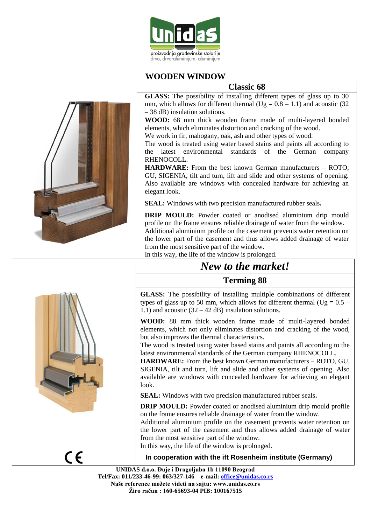

# **WOODEN WINDOW**

# **Classic 68**

**GLASS:** The possibility of installing different types of glass up to 30 mm, which allows for different thermal ( $Ug = 0.8 - 1.1$ ) and acoustic (32) – 38 dB) insulation solutions.

**WOOD:** 68 mm thick wooden frame made of multi-layered bonded elements, which eliminates distortion and cracking of the wood.

We work in fir, mahogany, oak, ash and other types of wood.

The wood is treated using water based stains and paints all according to the latest environmental standards of the German company RHENOCOLL.

**HARDWARE:** From the best known German manufacturers – ROTO, GU, SIGENIA, tilt and turn, lift and slide and other systems of opening. Also available are windows with concealed hardware for achieving an elegant look.

**SEAL:** Windows with two precision manufactured rubber seals**.**

**DRIP MOULD:** Powder coated or anodised aluminium drip mould profile on the frame ensures reliable drainage of water from the window. Additional aluminium profile on the casement prevents water retention on the lower part of the casement and thus allows added drainage of water from the most sensitive part of the window.

In this way, the life of the window is prolonged.

# *New to the market!*

# **Terming 88**

**GLASS:** The possibility of installing multiple combinations of different types of glass up to 50 mm, which allows for different thermal ( $Ug = 0.5$  – 1.1) and acoustic  $(32 – 42$  dB) insulation solutions.

**WOOD:** 88 mm thick wooden frame made of multi-layered bonded elements, which not only eliminates distortion and cracking of the wood, but also improves the thermal characteristics.

The wood is treated using water based stains and paints all according to the latest environmental standards of the German company RHENOCOLL.

**HARDWARE:** From the best known German manufacturers – ROTO, GU, SIGENIA, tilt and turn, lift and slide and other systems of opening. Also available are windows with concealed hardware for achieving an elegant look.

**SEAL:** Windows with two precision manufactured rubber seals**.** 

**DRIP MOULD:** Powder coated or anodised aluminium drip mould profile on the frame ensures reliable drainage of water from the window.

Additional aluminium profile on the casement prevents water retention on the lower part of the casement and thus allows added drainage of water from the most sensitive part of the window.

In this way, the life of the window is prolonged.

# CE

 **In cooperation with the ift Rosenheim institute (Germany)**

**UNIDAS d.o.o. Đuje i Dragoljuba 1b 11090 Beograd Tel/Fax: 011/233-46-99: 063/327-146 e-mail: [office@unidas.co.rs](mailto:office@unidas.co.rs) Naše reference možete videti na sajtu: www.unidas.co.rs Žiro račun : 160-65693-04 PIB: 100167515**